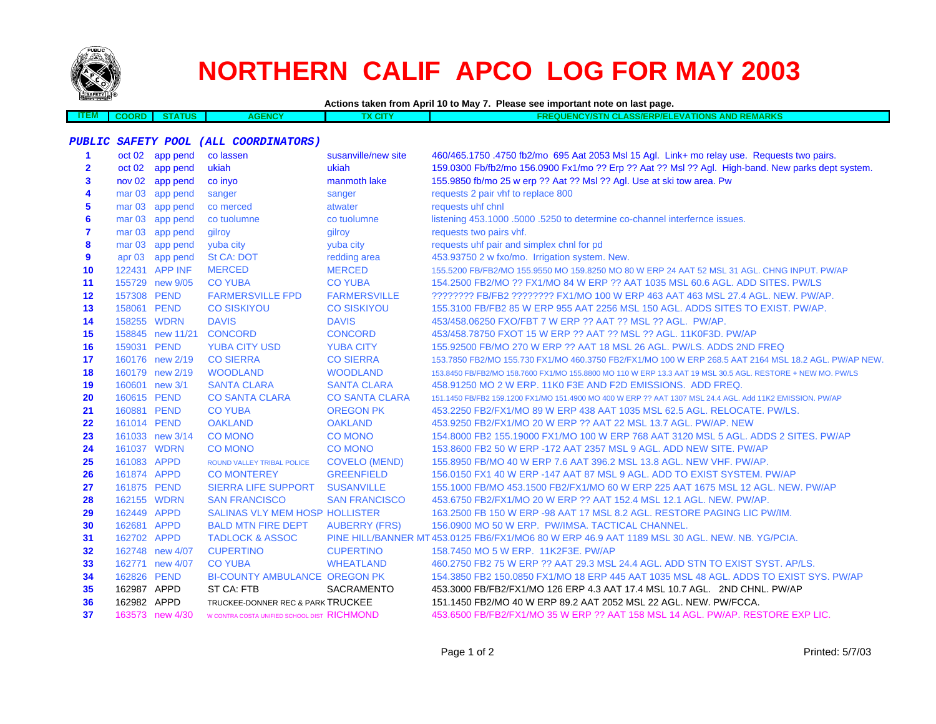

**ITEM**

# **NORTHERN CALIF APCO LOG FOR MAY 2003**

**Actions taken from April 10 to May 7. Please see important note on last page.**

 **COORD STATUSAGENCY TX CITY FREQUENCY/STN CLASS/ERP/ELEVATIONS AND REMARKS**

#### **PUBLIC SAFETY POOL (ALL COORDINATORS)**

| 1            | oct 02            | app pend         | co lassen                                   | susanville/new site   | 460/465.1750.4750 fb2/mo 695 Aat 2053 Msl 15 Agl. Link+ mo relay use. Requests two pairs.                  |
|--------------|-------------------|------------------|---------------------------------------------|-----------------------|------------------------------------------------------------------------------------------------------------|
| $\mathbf{2}$ | oct 02            | app pend         | ukiah                                       | ukiah                 | 159.0300 Fb/fb2/mo 156.0900 Fx1/mo ?? Erp ?? Aat ?? Msl ?? Agl. High-band. New parks dept system.          |
| 3            | nov <sub>02</sub> | app pend         | co invo                                     | manmoth lake          | 155.9850 fb/mo 25 w erp ?? Aat ?? Msl ?? Agl. Use at ski tow area. Pw                                      |
| 4            | mar <sub>03</sub> | app pend         | sanger                                      | sanger                | requests 2 pair vhf to replace 800                                                                         |
| 5            | mar <sub>03</sub> | app pend         | co merced                                   | atwater               | requests uhf chnl                                                                                          |
| 6            | mar <sub>03</sub> | app pend         | co tuolumne                                 | co tuolumne           | listening 453.1000 .5000 .5250 to determine co-channel interfernce issues.                                 |
| 7            | mar <sub>03</sub> | app pend         | gilroy                                      | gilroy                | requests two pairs vhf.                                                                                    |
| 8            |                   | mar 03 app pend  | yuba city                                   | yuba city             | requests uhf pair and simplex chnl for pd                                                                  |
| 9            | apr <sub>03</sub> | app pend         | <b>St CA: DOT</b>                           | redding area          | 453.93750 2 w fxo/mo. Irrigation system. New.                                                              |
| 10           |                   | 122431 APP INF   | <b>MERCED</b>                               | <b>MERCED</b>         | 155,5200 FB/FB2/MO 155,9550 MO 159,8250 MO 80 W ERP 24 AAT 52 MSL 31 AGL, CHNG INPUT, PW/AP                |
| 11           |                   | 155729 new 9/05  | <b>CO YUBA</b>                              | <b>CO YUBA</b>        | 154,2500 FB2/MO ?? FX1/MO 84 W ERP ?? AAT 1035 MSL 60.6 AGL, ADD SITES, PW/LS                              |
| 12           | 157308 PEND       |                  | <b>FARMERSVILLE FPD</b>                     | <b>FARMERSVILLE</b>   | ???????? FB/FB2 ??????? FX1/MO 100 W ERP 463 AAT 463 MSL 27.4 AGL. NEW. PW/AP.                             |
| 13           | 158061 PEND       |                  | <b>CO SISKIYOU</b>                          | <b>CO SISKIYOU</b>    | 155,3100 FB/FB2 85 W ERP 955 AAT 2256 MSL 150 AGL, ADDS SITES TO EXIST, PW/AP.                             |
| 14           | 158255 WDRN       |                  | <b>DAVIS</b>                                | <b>DAVIS</b>          | 453/458.06250 FXO/FBT 7 W ERP ?? AAT ?? MSL ?? AGL. PW/AP.                                                 |
| 15           |                   | 158845 new 11/21 | <b>CONCORD</b>                              | <b>CONCORD</b>        | 453/458.78750 FXOT 15 W ERP ?? AAT ?? MSL ?? AGL. 11K0F3D. PW/AP                                           |
| 16           | 159031 PEND       |                  | <b>YUBA CITY USD</b>                        | <b>YUBA CITY</b>      | 155.92500 FB/MO 270 W ERP ?? AAT 18 MSL 26 AGL. PW/LS. ADDS 2ND FREQ                                       |
| 17           |                   | 160176 new 2/19  | <b>CO SIERRA</b>                            | <b>CO SIERRA</b>      | 153.7850 FB2/MO 155.730 FX1/MO 460.3750 FB2/FX1/MO 100 W ERP 268.5 AAT 2164 MSL 18.2 AGL. PW/AP NEW.       |
| 18           |                   | 160179 new 2/19  | <b>WOODLAND</b>                             | <b>WOODLAND</b>       | 153.8450 FB/FB2/MO 158.7600 FX1/MO 155.8800 MO 110 W ERP 13.3 AAT 19 MSL 30.5 AGL, RESTORE + NEW MO, PW/LS |
| 19           |                   | 160601 new 3/1   | <b>SANTA CLARA</b>                          | <b>SANTA CLARA</b>    | 458.91250 MO 2 W ERP. 11K0 F3E AND F2D EMISSIONS. ADD FREQ.                                                |
| 20           | 160615 PEND       |                  | <b>CO SANTA CLARA</b>                       | <b>CO SANTA CLARA</b> | 151.1450 FB/FB2 159.1200 FX1/MO 151.4900 MO 400 W ERP ?? AAT 1307 MSL 24.4 AGL. Add 11K2 EMISSION. PW/AP   |
| 21           | 160881 PEND       |                  | <b>CO YUBA</b>                              | <b>OREGON PK</b>      | 453.2250 FB2/FX1/MO 89 W ERP 438 AAT 1035 MSL 62.5 AGL, RELOCATE, PW/LS.                                   |
| 22           | 161014 PEND       |                  | <b>OAKLAND</b>                              | <b>OAKLAND</b>        | 453,9250 FB2/FX1/MO 20 W ERP ?? AAT 22 MSL 13.7 AGL, PW/AP, NEW                                            |
| 23           |                   | 161033 new 3/14  | <b>CO MONO</b>                              | <b>CO MONO</b>        | 154,8000 FB2 155,19000 FX1/MO 100 W ERP 768 AAT 3120 MSL 5 AGL, ADDS 2 SITES, PW/AP                        |
| 24           | 161037 WDRN       |                  | <b>CO MONO</b>                              | <b>CO MONO</b>        | 153,8600 FB2 50 W ERP -172 AAT 2357 MSL 9 AGL, ADD NEW SITE, PW/AP                                         |
| 25           | 161083 APPD       |                  | <b>ROUND VALLEY TRIBAL POLICE</b>           | <b>COVELO (MEND)</b>  | 155,8950 FB/MO 40 W ERP 7.6 AAT 396.2 MSL 13.8 AGL, NEW VHF, PW/AP.                                        |
| 26           | 161874 APPD       |                  | <b>CO MONTEREY</b>                          | <b>GREENFIELD</b>     | 156,0150 FX1 40 W ERP -147 AAT 87 MSL 9 AGL, ADD TO EXIST SYSTEM, PW/AP                                    |
| 27           | 161875 PEND       |                  | <b>SIERRA LIFE SUPPORT</b>                  | <b>SUSANVILLE</b>     | 155,1000 FB/MO 453,1500 FB2/FX1/MO 60 W ERP 225 AAT 1675 MSL 12 AGL, NEW, PW/AP                            |
| 28           | 162155 WDRN       |                  | <b>SAN FRANCISCO</b>                        | <b>SAN FRANCISCO</b>  | 453.6750 FB2/FX1/MO 20 W ERP ?? AAT 152.4 MSL 12.1 AGL, NEW, PW/AP.                                        |
| 29           | 162449 APPD       |                  | <b>SALINAS VLY MEM HOSP HOLLISTER</b>       |                       | 163,2500 FB 150 W ERP -98 AAT 17 MSL 8.2 AGL, RESTORE PAGING LIC PW/IM.                                    |
| 30           | 162681 APPD       |                  | <b>BALD MTN FIRE DEPT</b>                   | <b>AUBERRY (FRS)</b>  | 156.0900 MO 50 W ERP. PW/IMSA. TACTICAL CHANNEL.                                                           |
| 31           | 162702 APPD       |                  | <b>TADLOCK &amp; ASSOC</b>                  |                       | PINE HILL/BANNER MT 453.0125 FB6/FX1/MO6 80 W ERP 46.9 AAT 1189 MSL 30 AGL. NEW. NB. YG/PCIA.              |
| 32           |                   | 162748 new 4/07  | <b>CUPERTINO</b>                            | <b>CUPERTINO</b>      | 158.7450 MO 5 W ERP. 11K2F3E, PW/AP                                                                        |
| 33           |                   | 162771 new 4/07  | <b>CO YUBA</b>                              | <b>WHEATLAND</b>      | 460.2750 FB2 75 W ERP ?? AAT 29.3 MSL 24.4 AGL, ADD STN TO EXIST SYST, AP/LS.                              |
| 34           | 162826 PEND       |                  | <b>BI-COUNTY AMBULANCE OREGON PK</b>        |                       | 154.3850 FB2 150.0850 FX1/MO 18 ERP 445 AAT 1035 MSL 48 AGL. ADDS TO EXIST SYS. PW/AP                      |
| 35           | 162987 APPD       |                  | ST CA: FTB                                  | <b>SACRAMENTO</b>     | 453.3000 FB/FB2/FX1/MO 126 ERP 4.3 AAT 17.4 MSL 10.7 AGL. 2ND CHNL. PW/AP                                  |
| 36           | 162982 APPD       |                  | TRUCKEE-DONNER REC & PARK TRUCKEE           |                       | 151.1450 FB2/MO 40 W ERP 89.2 AAT 2052 MSL 22 AGL. NEW. PW/FCCA.                                           |
| 37           |                   | 163573 new 4/30  | W CONTRA COSTA UNIFIED SCHOOL DIST RICHMOND |                       | 453,6500 FB/FB2/FX1/MO 35 W ERP ?? AAT 158 MSL 14 AGL, PW/AP, RESTORE EXP LIC.                             |